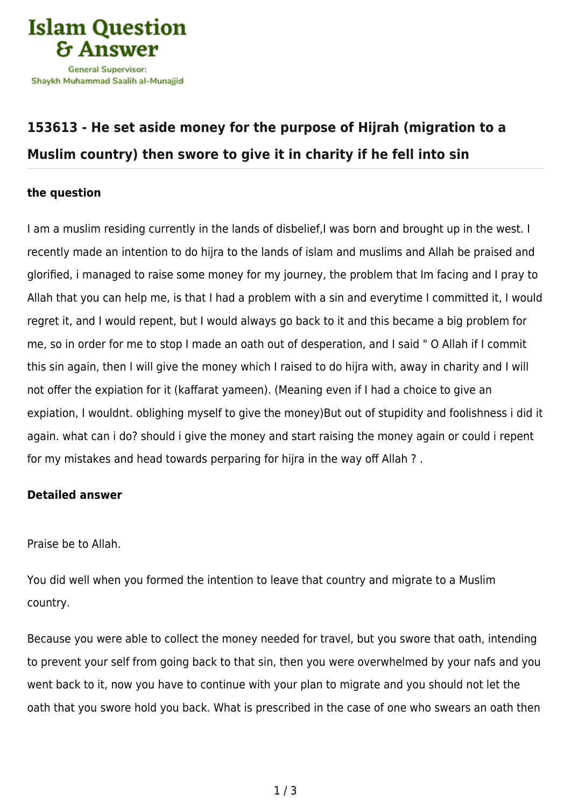

## **[153613 - He set aside money for the purpose of Hijrah \(migration to a](https://islamqa.com/en/answers/153613/he-set-aside-money-for-the-purpose-of-hijrah-migration-to-a-muslim-country-then-swore-to-give-it-in-charity-if-he-fell-into-sin) [Muslim country\) then swore to give it in charity if he fell into sin](https://islamqa.com/en/answers/153613/he-set-aside-money-for-the-purpose-of-hijrah-migration-to-a-muslim-country-then-swore-to-give-it-in-charity-if-he-fell-into-sin)**

## **the question**

I am a muslim residing currently in the lands of disbelief,I was born and brought up in the west. I recently made an intention to do hijra to the lands of islam and muslims and Allah be praised and glorified, i managed to raise some money for my journey, the problem that Im facing and I pray to Allah that you can help me, is that I had a problem with a sin and everytime I committed it, I would regret it, and I would repent, but I would always go back to it and this became a big problem for me, so in order for me to stop I made an oath out of desperation, and I said " O Allah if I commit this sin again, then I will give the money which I raised to do hijra with, away in charity and I will not offer the expiation for it (kaffarat yameen). (Meaning even if I had a choice to give an expiation, I wouldnt. oblighing myself to give the money)But out of stupidity and foolishness i did it again. what can i do? should i give the money and start raising the money again or could i repent for my mistakes and head towards perparing for hijra in the way off Allah ? .

## **Detailed answer**

Praise be to Allah.

You did well when you formed the intention to leave that country and migrate to a Muslim country.

Because you were able to collect the money needed for travel, but you swore that oath, intending to prevent your self from going back to that sin, then you were overwhelmed by your nafs and you went back to it, now you have to continue with your plan to migrate and you should not let the oath that you swore hold you back. What is prescribed in the case of one who swears an oath then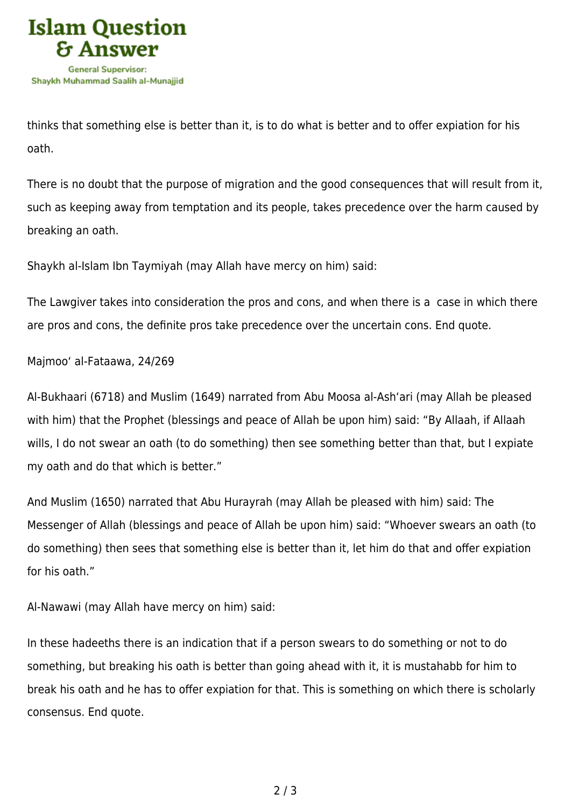

thinks that something else is better than it, is to do what is better and to offer expiation for his oath.

There is no doubt that the purpose of migration and the good consequences that will result from it, such as keeping away from temptation and its people, takes precedence over the harm caused by breaking an oath.

Shaykh al-Islam Ibn Taymiyah (may Allah have mercy on him) said:

The Lawgiver takes into consideration the pros and cons, and when there is a case in which there are pros and cons, the definite pros take precedence over the uncertain cons. End quote.

Majmoo' al-Fataawa, 24/269

Al-Bukhaari (6718) and Muslim (1649) narrated from Abu Moosa al-Ash'ari (may Allah be pleased with him) that the Prophet (blessings and peace of Allah be upon him) said: "By Allaah, if Allaah wills, I do not swear an oath (to do something) then see something better than that, but I expiate my oath and do that which is better."

And Muslim (1650) narrated that Abu Hurayrah (may Allah be pleased with him) said: The Messenger of Allah (blessings and peace of Allah be upon him) said: "Whoever swears an oath (to do something) then sees that something else is better than it, let him do that and offer expiation for his oath."

Al-Nawawi (may Allah have mercy on him) said:

In these hadeeths there is an indication that if a person swears to do something or not to do something, but breaking his oath is better than going ahead with it, it is mustahabb for him to break his oath and he has to offer expiation for that. This is something on which there is scholarly consensus. End quote.